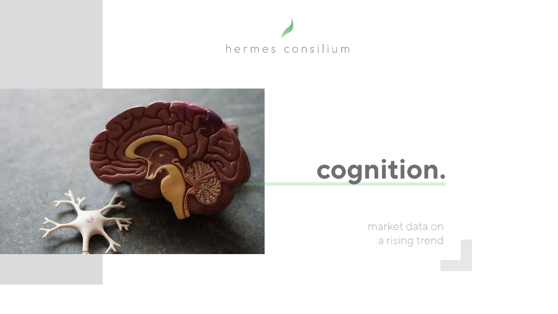





market data on a rising trend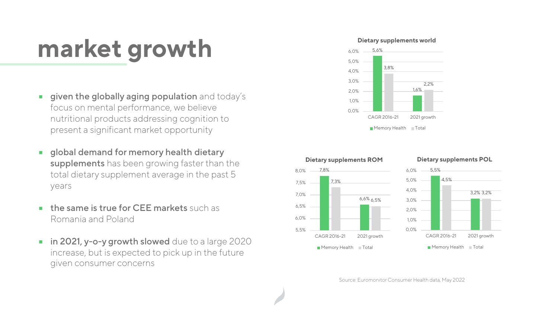### **market growth**

- given the globally aging population and today's  $\blacksquare$ focus on mental performance, we believe nutritional products addressing cognition to present a significant market opportunity
- global demand for memory health dietary  $\overline{\phantom{a}}$ supplements has been growing faster than the total dietary supplement average in the past 5 years
- the same is true for CEE markets such as  $\mathcal{L}_{\mathcal{A}}$ Romania and Poland
- in 2021, y-o-y growth slowed due to a large 2020  $\blacksquare$ increase, but is expected to pick up in the future given consumer concerns









Source: Euromonitor Consumer Health data, May 2022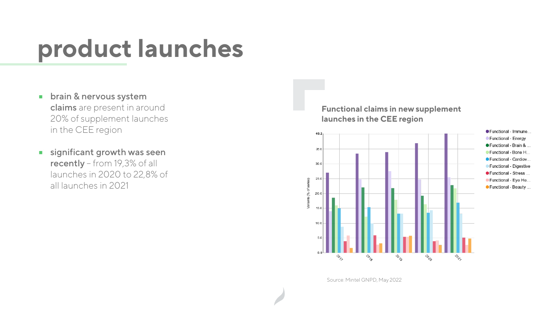#### **product launches**

- brain & nervous system  $\mathbb{R}^n$ claims are present in around 20% of supplement launches in the CEE region
- significant growth was seen  $\mathcal{L}_{\mathcal{A}}$ recently – from 19,3% of all launches in 2020 to 22,8% of all launches in 2021

**Functional claims in new supplement launches in the CEE region**



● Functional - Immune... Functional - Energy ● Functional - Brain & ... Functional - Bone H... ● Functional - Cardiov... Functional - Digestive ● Functional - Stress ... CFunctional - Eye He.. ● Functional - Beauty ...

Source: Mintel GNPD, May 2022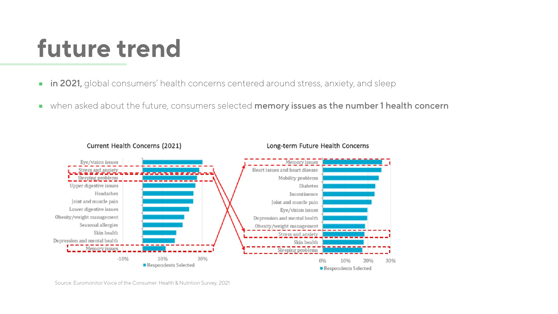## **future trend**

- in 2021, global consumers' health concerns centered around stress, anxiety, and sleep  $\blacksquare$
- **Notal Adda** when asked about the future, consumers selected memory issues as the number 1 health concern



Source: Euromonitor Voice of the Consumer: Health & Nutrition Survey, 2021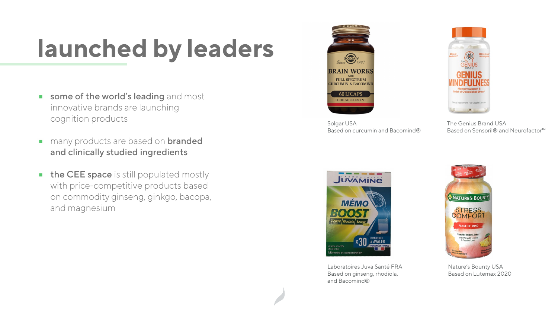## **launched by leaders**

- some of the world's leading and most  $\blacksquare$ innovative brands are launching cognition products
- many products are based on **branded**  $\mathcal{L}_{\mathcal{A}}$ and clinically studied ingredients
- the CEE space is still populated mostly  $\mathcal{L}_{\mathcal{A}}$ with price-competitive products based on commodity ginseng, ginkgo, bacopa, and magnesium





The Genius Brand USA Based on Sensoril® and Neurofactor™



Laboratoires Juva Santé FRA Based on ginseng, rhodiola, and Bacomind®



nent . 30 Veggie C

Nature's Bounty USA Based on Lutemax 2020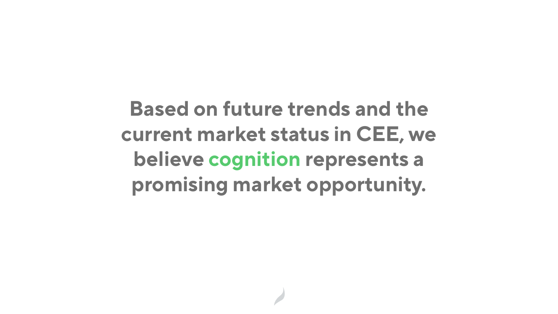**Based on future trends and the current market status in CEE, we believe cognition represents a promising market opportunity.**